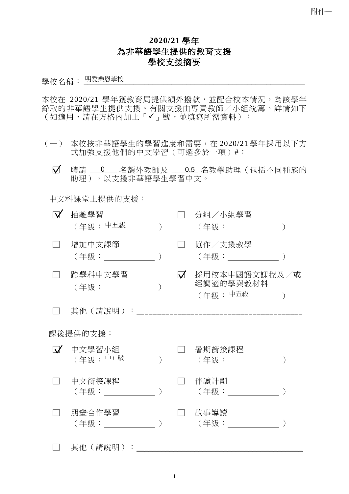## **2020/21** 學年 為非華語學生提供的教育支援 學校支援摘要

學校名稱: \_\_\_\_\_\_\_\_\_\_\_\_\_\_\_\_\_\_\_\_\_\_\_\_\_\_\_\_\_\_\_\_\_\_\_\_\_\_\_\_\_\_\_\_\_\_\_\_\_\_\_\_\_\_\_\_\_\_ 明愛樂恩學校

本校在 2020/21 學年獲教育局提供額外撥款,並配合校本情況,為該學年 錄取的非華語學生提供支援。有關支援由專責教師/小組統籌。詳情如下 (如適用,請在方格內加上「✔」號,並填寫所需資料):

- (一) 本校按非華語學生的學習進度和需要,在 2020/21 學年採用以下方 式加強支援他們的中文學習(可選多於一項)#:
	- .□ 聘請 \_\_\_\_\_\_\_ 名額外教師及 \_\_\_\_\_\_\_ 名教學助理(包括不同種族的 0 0.5 助理),以支援非華語學生學習中文。

中文科課堂上提供的支援:

| $\overline{\mathsf{v}}$ | 抽離學習<br>(年級:中五級                |  |          | 分組/小組學習<br>(年級: _________                         |  |  |
|-------------------------|--------------------------------|--|----------|---------------------------------------------------|--|--|
|                         | 增加中文課節<br>(年級:                 |  |          | 協作/支援教學                                           |  |  |
|                         | 跨學科中文學習<br>(年級:______________) |  | $\Delta$ | 採用校本中國語文課程及/或<br>經調適的學與教材料<br>(年級:中五 <u>級 )</u> ) |  |  |
|                         | 其他(請說明):                       |  |          |                                                   |  |  |
| 課後提供的支援:                |                                |  |          |                                                   |  |  |
|                         | Ⅳ 中文學習小組<br>(年級:中五級            |  |          | 暑期銜接課程<br>(年級: ) (1)                              |  |  |
|                         | 中文銜接課程<br>(年級: しゅうしょう)         |  |          | 伴讀計劃<br>(年級:                                      |  |  |
|                         | 朋輩合作學習<br>(年級: )               |  |          | 故事導讀<br>( 年級: ) ろんじょう うんこう うんこう うんこう うんこう しゅうかい   |  |  |
|                         | 其他 (請說明):                      |  |          |                                                   |  |  |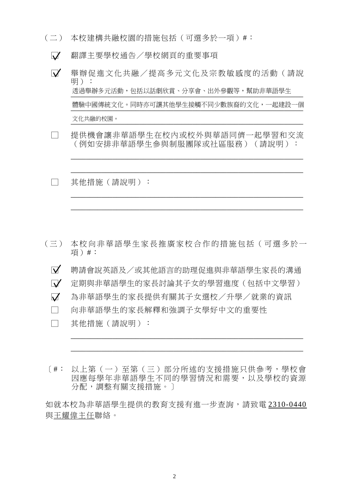- (二) 本校建構共融校園的措施包括(可選多於一項)#︰
	- □ 翻譯主要學校通告/學校網頁的重要事項
	- □ 舉辦促進文化共融/提高多元文化及宗教敏感度的活動(請說 明): \_\_\_\_\_\_\_\_\_\_\_\_\_\_\_\_\_\_\_\_\_\_\_\_\_\_\_\_\_\_\_\_\_\_\_\_\_\_\_\_\_\_\_\_\_\_\_\_\_\_\_\_\_\_\_\_\_\_\_\_\_ 透過舉辦多元活動,包括以話劇欣賞、分享會、出外參觀等,幫助非華語學生 體驗中國傳統文化。同時亦可讓其他學生接觸不同少數族裔的文化,一起建設一個<br>———————————————————— \_\_\_\_\_\_\_\_\_\_\_\_\_\_\_\_\_\_\_\_\_\_\_\_\_\_\_\_\_\_\_\_\_\_\_\_\_\_\_\_\_\_\_\_\_\_\_\_\_\_\_\_\_\_\_\_\_\_\_\_\_ 文化共融的校園。
	- □ 提供機會讓非華語學生在校內或校外與華語同儕一起學習和交流 (例如安排非華語學生參與制服團隊或社區服務)(請說明):

\_\_\_\_\_\_\_\_\_\_\_\_\_\_\_\_\_\_\_\_\_\_\_\_\_\_\_\_\_\_\_\_\_\_\_\_\_\_\_\_\_\_\_\_\_\_\_\_\_\_\_\_\_\_\_\_\_\_\_\_\_

\_\_\_\_\_\_\_\_\_\_\_\_\_\_\_\_\_\_\_\_\_\_\_\_\_\_\_\_\_\_\_\_\_\_\_\_\_\_\_\_\_\_\_\_\_\_\_\_\_\_\_\_\_\_\_\_\_\_\_\_\_

\_\_\_\_\_\_\_\_\_\_\_\_\_\_\_\_\_\_\_\_\_\_\_\_\_\_\_\_\_\_\_\_\_\_\_\_\_\_\_\_\_\_\_\_\_\_\_\_\_\_\_\_\_\_\_\_\_\_\_\_\_

\_\_\_\_\_\_\_\_\_\_\_\_\_\_\_\_\_\_\_\_\_\_\_\_\_\_\_\_\_\_\_\_\_\_\_\_\_\_\_\_\_\_\_\_\_\_\_\_\_\_\_\_\_\_\_\_\_\_\_\_\_

□ 其他措施(請說明):

- (三) 本校向非華語學生家長推廣家校合作的措施包括(可選多於一 項)#:
	- □ 聘請會說英語及/或其他語言的助理促進與非華語學生家長的溝通 □ 定期與非華語學生的家長討論其子女的學習進度(包括中文學習) □ 為非華語學生的家長提供有關其子女選校/升學/就業的資訊
	- □ 向非華語學生的家長解釋和強調子女學好中文的重要性
	- □ 其他措施(請說明):
- [#: 以上第(一)至第(三)部分所述的支援措施只供參考,學校會 因應每學年非華語學生不同的學習情況和需要,以及學校的資源 分配,調整有關支援措施。]

\_\_\_\_\_\_\_\_\_\_\_\_\_\_\_\_\_\_\_\_\_\_\_\_\_\_\_\_\_\_\_\_\_\_\_\_\_\_\_\_\_\_\_\_\_\_\_\_\_\_\_\_\_\_\_\_\_\_\_\_\_

\_\_\_\_\_\_\_\_\_\_\_\_\_\_\_\_\_\_\_\_\_\_\_\_\_\_\_\_\_\_\_\_\_\_\_\_\_\_\_\_\_\_\_\_\_\_\_\_\_\_\_\_\_\_\_\_\_\_\_\_\_

如就本校為非華語學生提供的教育支援有進一步查詢,請致電 2310-0440 與王耀偉主任聯絡。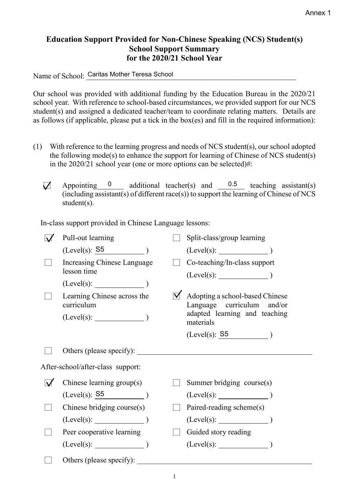## **Education Support Provided for Non-Chinese Speaking (NCS) Student(s) School Support Summary for the 2020/21 School Year**

Name of School: Caritas Mother Teresa School

Our school was provided with additional funding by the Education Bureau in the 2020/21 school year. With reference to school-based circumstances, we provided support for our NCS student(s) and assigned a dedicated teacher/team to coordinate relating matters. Details are as follows (if applicable, please put a tick in the box(es) and fill in the required information):

- (1) With reference to the learning progress and needs of NCS student(s), our school adopted the following mode(s) to enhance the support for learning of Chinese of NCS student(s) in the 2020/21 school year (one or more options can be selected)#:
	- $\nabla$  Appointing 0 additional teacher(s) and (including assistant(s) of different race(s)) to support the learning of Chinese of NCS student(s). 0  $0.5$  teaching assistant(s)

In-class support provided in Chinese Language lessons:

|   | Pull-out learning                         | Split-class/group learning                                    |
|---|-------------------------------------------|---------------------------------------------------------------|
|   | $(Level(s): S5$ )                         |                                                               |
|   | Increasing Chinese Language               | Co-teaching/In-class support                                  |
|   | lesson time                               | $(Level(s):$ $)$                                              |
|   | $(Level(s):$ $)$                          |                                                               |
|   | Learning Chinese across the<br>curriculum | Adopting a school-based Chinese<br>Language curriculum and/or |
|   |                                           | adapted learning and teaching<br>materials                    |
|   |                                           | $(Level(s): 55$ )                                             |
|   | Others (please specify):                  | <u> 1980 - John Stone, Amerikaansk politiker (</u>            |
|   | After-school/after-class support:         |                                                               |
| V | Chinese learning group(s)                 | Summer bridging course(s)                                     |
|   | (Level(s): S5                             |                                                               |
|   | Chinese bridging course(s)                | Paired-reading scheme(s)                                      |
|   | $(Level(s):$ (Level(s): (1)               | $(Level(s):$ (Level(s):                                       |
|   | Peer cooperative learning                 | Guided story reading                                          |
|   | $(Level(s):$ )                            | $(Level(s):$ (Level(s):                                       |
|   | Others (please specify):                  |                                                               |